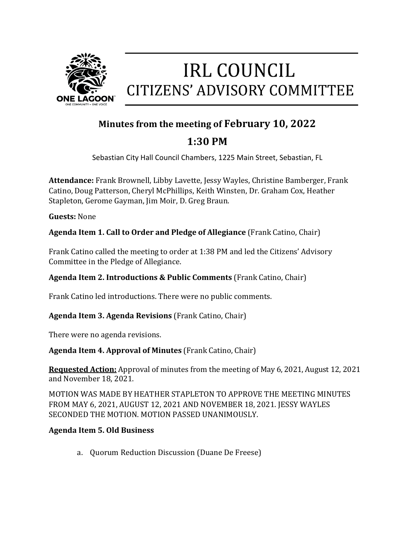

# **IRL COUNCIL** CITIZENS' ADVISORY COMMITTEE

# **Minutes from the meeting of February 10, 2022**

# **1:30 PM**

Sebastian City Hall Council Chambers, 1225 Main Street, Sebastian, FL

**Attendance:** Frank Brownell, Libby Lavette, Jessy Wayles, Christine Bamberger, Frank Catino, Doug Patterson, Cheryl McPhillips, Keith Winsten, Dr. Graham Cox, Heather Stapleton, Gerome Gayman, Jim Moir, D. Greg Braun.

**Guests:** None

**Agenda Item 1. Call to Order and Pledge of Allegiance** (Frank Catino, Chair)

Frank Catino called the meeting to order at 1:38 PM and led the Citizens' Advisory Committee in the Pledge of Allegiance.

# **Agenda Item 2. Introductions & Public Comments** (Frank Catino, Chair)

Frank Catino led introductions. There were no public comments.

# **Agenda Item 3. Agenda Revisions** (Frank Catino, Chair)

There were no agenda revisions.

# **Agenda Item 4. Approval of Minutes** (Frank Catino, Chair)

**Requested Action:** Approval of minutes from the meeting of May 6, 2021, August 12, 2021 and November 18, 2021.

MOTION WAS MADE BY HEATHER STAPLETON TO APPROVE THE MEETING MINUTES FROM MAY 6, 2021, AUGUST 12, 2021 AND NOVEMBER 18, 2021. JESSY WAYLES SECONDED THE MOTION. MOTION PASSED UNANIMOUSLY.

# **Agenda Item 5. Old Business**

a. Quorum Reduction Discussion (Duane De Freese)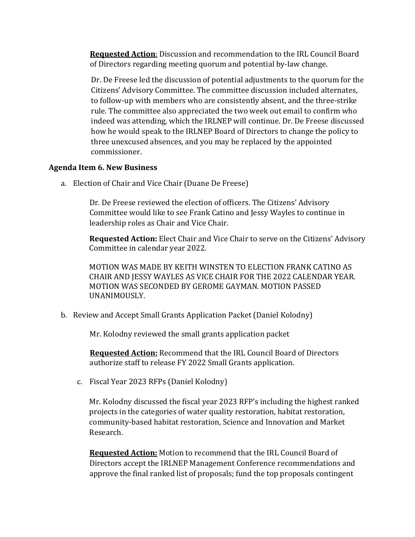**Requested Action**: Discussion and recommendation to the IRL Council Board of Directors regarding meeting quorum and potential by-law change.

Dr. De Freese led the discussion of potential adjustments to the quorum for the Citizens' Advisory Committee. The committee discussion included alternates, to follow-up with members who are consistently absent, and the three-strike rule. The committee also appreciated the two week out email to confirm who indeed was attending, which the IRLNEP will continue. Dr. De Freese discussed how he would speak to the IRLNEP Board of Directors to change the policy to three unexcused absences, and you may be replaced by the appointed commissioner.

#### **Agenda Item 6. New Business**

a. Election of Chair and Vice Chair (Duane De Freese)

Dr. De Freese reviewed the election of officers. The Citizens' Advisory Committee would like to see Frank Catino and Jessy Wayles to continue in leadership roles as Chair and Vice Chair.

**Requested Action:** Elect Chair and Vice Chair to serve on the Citizens' Advisory Committee in calendar year 2022.

MOTION WAS MADE BY KEITH WINSTEN TO ELECTION FRANK CATINO AS CHAIR AND JESSY WAYLES AS VICE CHAIR FOR THE 2022 CALENDAR YEAR. MOTION WAS SECONDED BY GEROME GAYMAN. MOTION PASSED UNANIMOUSLY.

b. Review and Accept Small Grants Application Packet (Daniel Kolodny)

Mr. Kolodny reviewed the small grants application packet

 **Requested Action:** Recommend that the IRL Council Board of Directors authorize staff to release FY 2022 Small Grants application.

c. Fiscal Year 2023 RFPs (Daniel Kolodny)

Mr. Kolodny discussed the fiscal year 2023 RFP's including the highest ranked projects in the categories of water quality restoration, habitat restoration, community-based habitat restoration, Science and Innovation and Market Research.

**Requested Action:** Motion to recommend that the IRL Council Board of Directors accept the IRLNEP Management Conference recommendations and approve the final ranked list of proposals; fund the top proposals contingent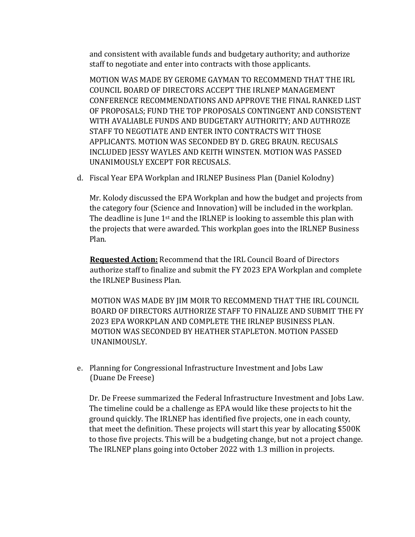and consistent with available funds and budgetary authority; and authorize staff to negotiate and enter into contracts with those applicants.

MOTION WAS MADE BY GEROME GAYMAN TO RECOMMEND THAT THE IRL COUNCIL BOARD OF DIRECTORS ACCEPT THE IRLNEP MANAGEMENT CONFERENCE RECOMMENDATIONS AND APPROVE THE FINAL RANKED LIST OF PROPOSALS; FUND THE TOP PROPOSALS CONTINGENT AND CONSISTENT WITH AVALIABLE FUNDS AND BUDGETARY AUTHORITY; AND AUTHROZE STAFF TO NEGOTIATE AND ENTER INTO CONTRACTS WIT THOSE APPLICANTS. MOTION WAS SECONDED BY D. GREG BRAUN. RECUSALS INCLUDED JESSY WAYLES AND KEITH WINSTEN. MOTION WAS PASSED UNANIMOUSLY EXCEPT FOR RECUSALS.

d. Fiscal Year EPA Workplan and IRLNEP Business Plan (Daniel Kolodny)

Mr. Kolody discussed the EPA Workplan and how the budget and projects from the category four (Science and Innovation) will be included in the workplan. The deadline is June 1<sup>st</sup> and the IRLNEP is looking to assemble this plan with the projects that were awarded. This workplan goes into the IRLNEP Business Plan.

 **Requested Action:** Recommend that the IRL Council Board of Directors authorize staff to finalize and submit the FY 2023 EPA Workplan and complete the IRLNEP Business Plan.

MOTION WAS MADE BY JIM MOIR TO RECOMMEND THAT THE IRL COUNCIL BOARD OF DIRECTORS AUTHORIZE STAFF TO FINALIZE AND SUBMIT THE FY 2023 EPA WORKPLAN AND COMPLETE THE IRLNEP BUSINESS PLAN. MOTION WAS SECONDED BY HEATHER STAPLETON. MOTION PASSED UNANIMOUSLY.

e. Planning for Congressional Infrastructure Investment and Jobs Law (Duane De Freese)

 Dr. De Freese summarized the Federal Infrastructure Investment and Jobs Law. The timeline could be a challenge as EPA would like these projects to hit the ground quickly. The IRLNEP has identified five projects, one in each county, that meet the definition. These projects will start this year by allocating \$500K to those five projects. This will be a budgeting change, but not a project change. The IRLNEP plans going into October 2022 with 1.3 million in projects.